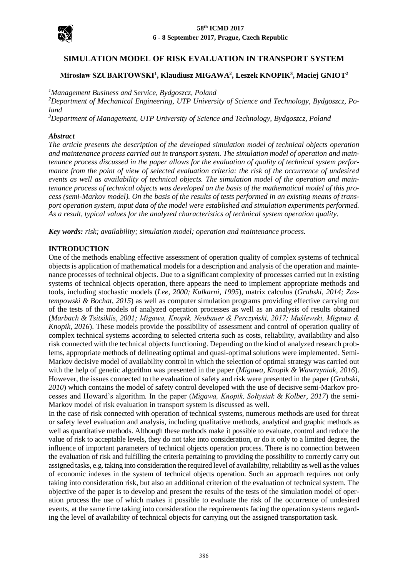

# **SIMULATION MODEL OF RISK EVALUATION IN TRANSPORT SYSTEM**

## **Mirosław SZUBARTOWSKI<sup>1</sup> , Klaudiusz MIGAWA<sup>2</sup> , Leszek KNOPIK<sup>3</sup> , Maciej GNIOT<sup>2</sup>**

*<sup>1</sup>Management Business and Service, Bydgoszcz, Poland*

*<sup>2</sup>Department of Mechanical Engineering, UTP University of Science and Technology, Bydgoszcz, Poland*

*<sup>3</sup>Department of Management, UTP University of Science and Technology, Bydgoszcz, Poland*

#### *Abstract*

*The article presents the description of the developed simulation model of technical objects operation* and maintenance process carried out in transport system. The simulation model of operation and main*tenance process discussed in the paper allows for the evaluation of quality of technical system performance from the point of view of selected evaluation criteria: the risk of the occurrence of undesired events as well as availability of technical objects. The simulation model of the operation and maintenance process of technical objects was developed on the basis of the mathematical model of this process (semi-Markov model). On the basis of the results of tests performed in an existing means of transport operation system, input data of the model were established and simulation experiments performed. As a result, typical values for the analyzed characteristics of technical system operation quality.*

*Key words: risk; availability; simulation model; operation and maintenance process.*

#### **INTRODUCTION**

One of the methods enabling effective assessment of operation quality of complex systems of technical objects is application of mathematical models for a description and analysis of the operation and maintenance processes of technical objects. Due to a significant complexity of processes carried out in existing systems of technical objects operation, there appears the need to implement appropriate methods and tools, including stochastic models (*Lee, 2000; Kulkarni, 1995*), matrix calculus (*Grabski, 2014; Zastempowski & Bochat, 2015*) as well as computer simulation programs providing effective carrying out of the tests of the models of analyzed operation processes as well as an analysis of results obtained (*Marbach & Tsitsiklis, 2001; Migawa, Knopik, Neubauer & Perczyński, 2017; Muślewski, Migawa & Knopik, 2016*). These models provide the possibility of assessment and control of operation quality of complex technical systems according to selected criteria such as costs, reliability, availability and also risk connected with the technical objects functioning. Depending on the kind of analyzed research problems, appropriate methods of delineating optimal and quasi-optimal solutions were implemented. Semi-Markov decisive model of availability control in which the selection of optimal strategy was carried out with the help of genetic algorithm was presented in the paper (*Migawa, Knopik & Wawrzyniak, 2016*). However, the issues connected to the evaluation of safety and risk were presented in the paper (*Grabski, 2010*) which contains the model of safety control developed with the use of decisive semi-Markov processes and Howard's algorithm. In the paper (*Migawa, Knopik, Sołtysiak & Kolber, 2017*) the semi-Markov model of risk evaluation in transport system is discussed as well.

In the case of risk connected with operation of technical systems, numerous methods are used for threat or safety level evaluation and analysis, including qualitative methods, analytical and graphic methods as well as quantitative methods. Although these methods make it possible to evaluate, control and reduce the value of risk to acceptable levels, they do not take into consideration, or do it only to a limited degree, the influence of important parameters of technical objects operation process. There is no connection between the evaluation of risk and fulfilling the criteria pertaining to providing the possibility to correctly carry out assigned tasks, e.g. taking into consideration the required level of availability, reliability as well as the values of economic indexes in the system of technical objects operation. Such an approach requires not only taking into consideration risk, but also an additional criterion of the evaluation of technical system. The objective of the paper is to develop and present the results of the tests of the simulation model of operation process the use of which makes it possible to evaluate the risk of the occurrence of undesired events, at the same time taking into consideration the requirements facing the operation systems regarding the level of availability of technical objects for carrying out the assigned transportation task.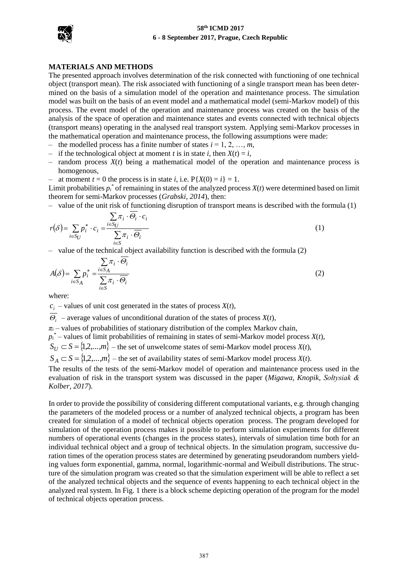

#### **MATERIALS AND METHODS**

The presented approach involves determination of the risk connected with functioning of one technical object (transport mean). The risk associated with functioning of a single transport mean has been determined on the basis of a simulation model of the operation and maintenance process. The simulation model was built on the basis of an event model and a mathematical model (semi-Markov model) of this process. The event model of the operation and maintenance process was created on the basis of the analysis of the space of operation and maintenance states and events connected with technical objects (transport means) operating in the analysed real transport system. Applying semi-Markov processes in the mathematical operation and maintenance process, the following assumptions were made:

- the modelled process has a finite number of states  $i = 1, 2, ..., m$ ,
- if the technological object at moment *t* is in state *i*, then  $X(t) = i$ ,
- $-$  random process  $X(t)$  being a mathematical model of the operation and maintenance process is homogenous,
- at moment  $t = 0$  the process is in state *i*, i.e.  $P\{X(0) = i\} = 1$ .

Limit probabilities  $p_i^*$  of remaining in states of the analyzed process  $X(t)$  were determined based on limit theorem for semi-Markov processes (*Grabski, 2014*), then:

– value of the unit risk of functioning disruption of transport means is described with the formula (1)

$$
r(\delta) = \sum_{i \in S_U} p_i^* \cdot c_i = \frac{\sum_{i \in S_U} \pi_i \cdot \Theta_i \cdot c_i}{\sum_{i \in S} \pi_i \cdot \overline{\Theta_i}}
$$
(1)

– value of the technical object availability function is described with the formula (2)

$$
A(\delta) = \sum_{i \in S_A} p_i^* = \frac{\sum_{i \in S_A} \pi_i \cdot \Theta_i}{\sum_{i \in S} \pi_i \cdot \overline{\Theta_i}}
$$
(2)

where:

 $c_i$  – values of unit cost generated in the states of process *X*(*t*),

 $\Theta_i$  – average values of unconditional duration of the states of process *X*(*t*),

 $\pi$ <sup>*i*</sup> – values of probabilities of stationary distribution of the complex Markov chain,

 $p_i^*$  – values of limit probabilities of remaining in states of semi-Markov model process  $X(t)$ ,

 $S_{17} \subset S = \{1, 2, ..., m\}$  – the set of unwelcome states of semi-Markov model process *X*(*t*),

 $S_A \subset S = \{1, 2, ..., m\}$  – the set of availability states of semi-Markov model process *X*(*t*).

The results of the tests of the semi-Markov model of operation and maintenance process used in the evaluation of risk in the transport system was discussed in the paper (*Migawa, Knopik, Sołtysiak & Kolber, 2017*).

In order to provide the possibility of considering different computational variants, e.g. through changing the parameters of the modeled process or a number of analyzed technical objects, a program has been created for simulation of a model of technical objects operation process. The program developed for simulation of the operation process makes it possible to perform simulation experiments for different numbers of operational events (changes in the process states), intervals of simulation time both for an individual technical object and a group of technical objects. In the simulation program, successive duration times of the operation process states are determined by generating pseudorandom numbers yielding values form exponential, gamma, normal, logarithmic-normal and Weibull distributions. The structure of the simulation program was created so that the simulation experiment will be able to reflect a set of the analyzed technical objects and the sequence of events happening to each technical object in the analyzed real system. In Fig. 1 there is a block scheme depicting operation of the program for the model of technical objects operation process.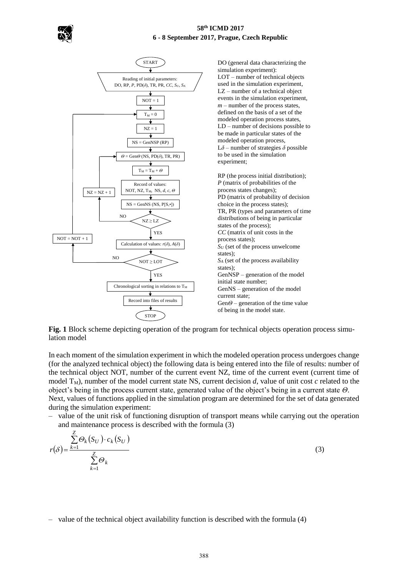



**Fig. 1** Block scheme depicting operation of the program for technical objects operation process simulation model

In each moment of the simulation experiment in which the modeled operation process undergoes change (for the analyzed technical object) the following data is being entered into the file of results: number of the technical object NOT, number of the current event NZ, time of the current event (current time of model  $T_M$ ), number of the model current state NS, current decision *d*, value of unit cost *c* related to the object's being in the process current state, generated value of the object's being in a current state *Θ*. Next, values of functions applied in the simulation program are determined for the set of data generated during the simulation experiment:

– value of the unit risk of functioning disruption of transport means while carrying out the operation and maintenance process is described with the formula (3)

$$
r(\delta) = \frac{\sum_{k=1}^{Z} \Theta_k(S_U) \cdot c_k(S_U)}{\sum_{k=1}^{Z} \Theta_k}
$$
\n(3)

<sup>–</sup> value of the technical object availability function is described with the formula (4)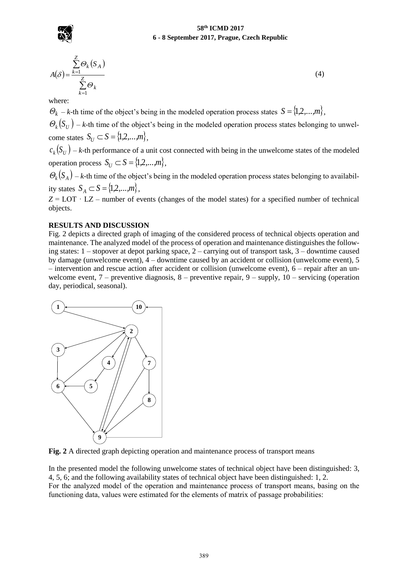

$$
A(\delta) = \frac{\sum_{k=1}^{Z} \Theta_k(S_A)}{\sum_{k=1}^{Z} \Theta_k}
$$
 (4)

where:

 $\mathcal{O}_k$  – *k*-th time of the object's being in the modeled operation process states  $S = \{1, 2, ..., m\}$ ,

 $\mathcal{O}_k(S_U)$  – *k*-th time of the object's being in the modeled operation process states belonging to unwelcome states  $S_U \subset S = \{1, 2, ..., m\},\$ 

 $c_k(S_U)$  – *k*-th performance of a unit cost connected with being in the unwelcome states of the modeled operation process  $S_U \subset S = \{1, 2, ..., m\},\$ 

 $\mathcal{O}_k(S_A)$  – *k*-th time of the object's being in the modeled operation process states belonging to availability states  $S_A \subset S = \{1, 2, ..., m\},\$ 

 $Z =$  LOT  $\cdot$  LZ – number of events (changes of the model states) for a specified number of technical objects.

### **RESULTS AND DISCUSSION**

Fig. 2 depicts a directed graph of imaging of the considered process of technical objects operation and maintenance. The analyzed model of the process of operation and maintenance distinguishes the following states: 1 – stopover at depot parking space, 2 – carrying out of transport task, 3 – downtime caused by damage (unwelcome event), 4 – downtime caused by an accident or collision (unwelcome event), 5 – intervention and rescue action after accident or collision (unwelcome event), 6 – repair after an unwelcome event,  $7$  – preventive diagnosis,  $8$  – preventive repair,  $9$  – supply,  $10$  – servicing (operation day, periodical, seasonal).



**Fig. 2** A directed graph depicting operation and maintenance process of transport means

In the presented model the following unwelcome states of technical object have been distinguished: 3, 4, 5, 6; and the following availability states of technical object have been distinguished: 1, 2. For the analyzed model of the operation and maintenance process of transport means, basing on the functioning data, values were estimated for the elements of matrix of passage probabilities: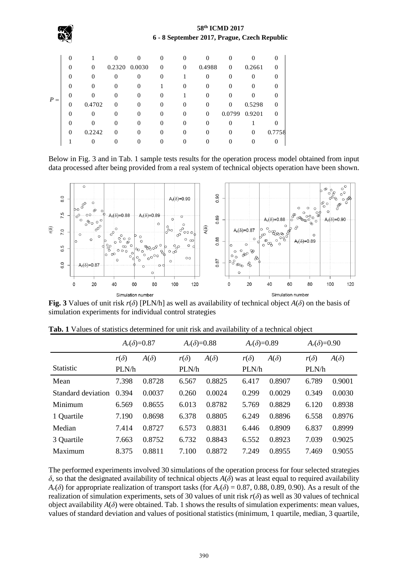|       | $\Omega$ |          | $\Omega$ |               | 0            | $\Omega$ |          |          |          |          |
|-------|----------|----------|----------|---------------|--------------|----------|----------|----------|----------|----------|
| $P =$ | $\Omega$ | $\Omega$ |          | 0.2320 0.0030 | $\mathbf{0}$ | $\Omega$ | 0.4988   | $\Omega$ | 0.2661   | $\Omega$ |
|       |          | 0        | $\Omega$ | $\Omega$      | $\Omega$     |          |          | $\Omega$ | $\Omega$ |          |
|       | $\Omega$ | $_{0}$   | $\Omega$ | $\Omega$      |              |          | 0        | 0        | $\Omega$ |          |
|       |          |          | 0        | $\Omega$      |              |          | $\theta$ |          |          | $\theta$ |
|       | $\Omega$ | 0.4702   | $\Omega$ | $\theta$      | 0            | $\Omega$ |          | $\Omega$ | 0.5298   | 0        |
|       | $\Omega$ | 0        | $\Omega$ | $\Omega$      | 0            | $\Omega$ | $\Omega$ | 0.0799   | 0.9201   | $\Omega$ |
|       |          |          | 0        | $\Omega$      | 0            | 0        | 0        |          |          |          |
|       | $\Omega$ | 0.2242   | 0        | $\Omega$      |              |          |          | $\Omega$ | $\Omega$ | 0.7758   |
|       |          |          |          |               |              |          |          |          |          |          |

Below in Fig. 3 and in Tab. 1 sample tests results for the operation process model obtained from input data processed after being provided from a real system of technical objects operation have been shown.



**Fig. 3** Values of unit risk  $r(\delta)$  [PLN/h] as well as availability of technical object  $A(\delta)$  on the basis of simulation experiments for individual control strategies

|                    | $A_r(\delta)=0.87$ |             | $A_r(\delta)=0.88$ |             | $A_r(\delta)=0.89$ |             | $A_r(\delta)=0.90$ |             |  |
|--------------------|--------------------|-------------|--------------------|-------------|--------------------|-------------|--------------------|-------------|--|
|                    | $r(\delta)$        | $A(\delta)$ | $r(\delta)$        | $A(\delta)$ | $r(\delta)$        | $A(\delta)$ | $r(\delta)$        | $A(\delta)$ |  |
| <b>Statistic</b>   | PLN/h              |             | PLN/h              |             | PLN/h              |             |                    | PLN/h       |  |
| Mean               | 7.398              | 0.8728      | 6.567              | 0.8825      | 6.417              | 0.8907      | 6.789              | 0.9001      |  |
| Standard deviation | 0.394              | 0.0037      | 0.260              | 0.0024      | 0.299              | 0.0029      | 0.349              | 0.0030      |  |
| Minimum            | 6.569              | 0.8655      | 6.013              | 0.8782      | 5.769              | 0.8829      | 6.120              | 0.8938      |  |
| 1 Quartile         | 7.190              | 0.8698      | 6.378              | 0.8805      | 6.249              | 0.8896      | 6.558              | 0.8976      |  |
| Median             | 7.414              | 0.8727      | 6.573              | 0.8831      | 6.446              | 0.8909      | 6.837              | 0.8999      |  |
| 3 Quartile         | 7.663              | 0.8752      | 6.732              | 0.8843      | 6.552              | 0.8923      | 7.039              | 0.9025      |  |
| Maximum            | 8.375              | 0.8811      | 7.100              | 0.8872      | 7.249              | 0.8955      | 7.469              | 0.9055      |  |

**Tab. 1** Values of statistics determined for unit risk and availability of a technical object

The performed experiments involved 30 simulations of the operation process for four selected strategies *δ*, so that the designated availability of technical objects *A*(*δ*) was at least equal to required availability  $A_r(\delta)$  for appropriate realization of transport tasks (for  $A_r(\delta) = 0.87, 0.88, 0.89, 0.90$ ). As a result of the realization of simulation experiments, sets of 30 values of unit risk *r*(*δ*) as well as 30 values of technical object availability  $A(\delta)$  were obtained. Tab. 1 shows the results of simulation experiments: mean values, values of standard deviation and values of positional statistics (minimum, 1 quartile, median, 3 quartile,